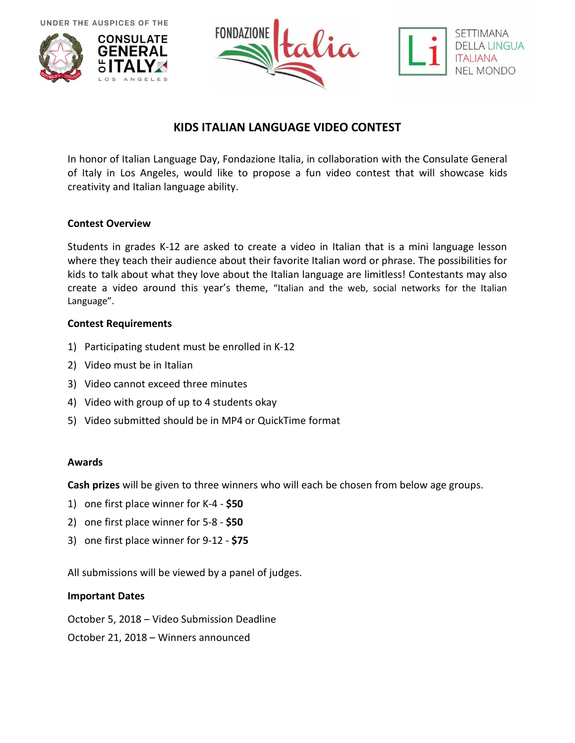UNDER THE AUSPICES OF THE







# **KIDS ITALIAN LANGUAGE VIDEO CONTEST**

In honor of Italian Language Day, Fondazione Italia, in collaboration with the Consulate General of Italy in Los Angeles, would like to propose a fun video contest that will showcase kids creativity and Italian language ability.

## **Contest Overview**

Students in grades K-12 are asked to create a video in Italian that is a mini language lesson where they teach their audience about their favorite Italian word or phrase. The possibilities for kids to talk about what they love about the Italian language are limitless! Contestants may also create a video around this year's theme, "Italian and the web, social networks for the Italian Language".

## **Contest Requirements**

- 1) Participating student must be enrolled in K-12
- 2) Video must be in Italian
- 3) Video cannot exceed three minutes
- 4) Video with group of up to 4 students okay
- 5) Video submitted should be in MP4 or QuickTime format

#### **Awards**

**Cash prizes** will be given to three winners who will each be chosen from below age groups.

- 1) one first place winner for K-4 **\$50**
- 2) one first place winner for 5-8 **\$50**
- 3) one first place winner for 9-12 **\$75**

All submissions will be viewed by a panel of judges.

#### **Important Dates**

October 5, 2018 – Video Submission Deadline

October 21, 2018 – Winners announced